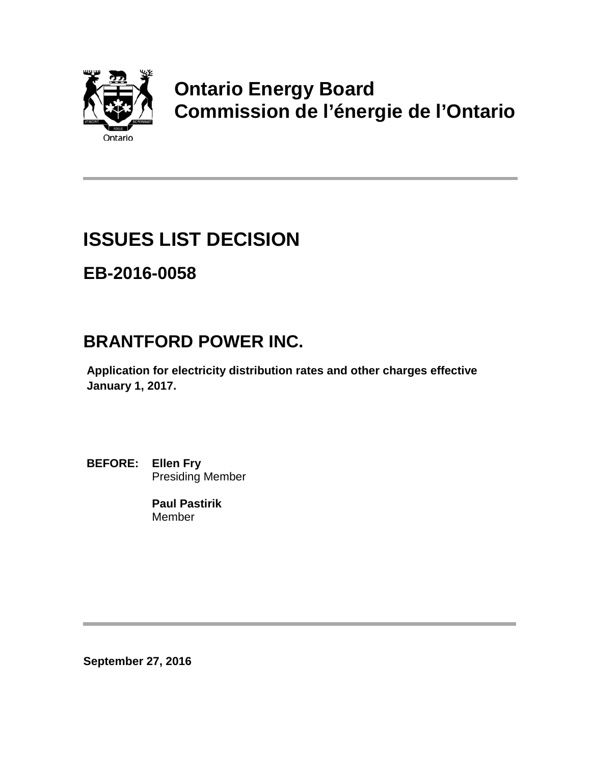

# **Ontario Energy Board Commission de l'énergie de l'Ontario**

# **ISSUES LIST DECISION**

## **EB-2016-0058**

## **BRANTFORD POWER INC.**

**Application for electricity distribution rates and other charges effective January 1, 2017.**

**BEFORE: Ellen Fry** Presiding Member

> **Paul Pastirik** Member

**September 27, 2016**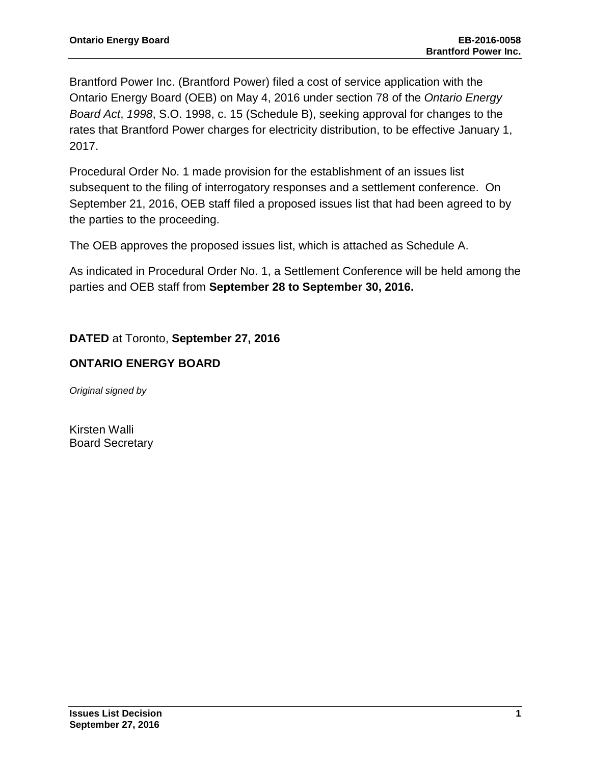Brantford Power Inc. (Brantford Power) filed a cost of service application with the Ontario Energy Board (OEB) on May 4, 2016 under section 78 of the *Ontario Energy Board Act*, *1998*, S.O. 1998, c. 15 (Schedule B), seeking approval for changes to the rates that Brantford Power charges for electricity distribution, to be effective January 1, 2017.

Procedural Order No. 1 made provision for the establishment of an issues list subsequent to the filing of interrogatory responses and a settlement conference. On September 21, 2016, OEB staff filed a proposed issues list that had been agreed to by the parties to the proceeding.

The OEB approves the proposed issues list, which is attached as Schedule A.

As indicated in Procedural Order No. 1, a Settlement Conference will be held among the parties and OEB staff from **September 28 to September 30, 2016.**

**DATED** at Toronto, **September 27, 2016**

#### **ONTARIO ENERGY BOARD**

*Original signed by*

Kirsten Walli Board Secretary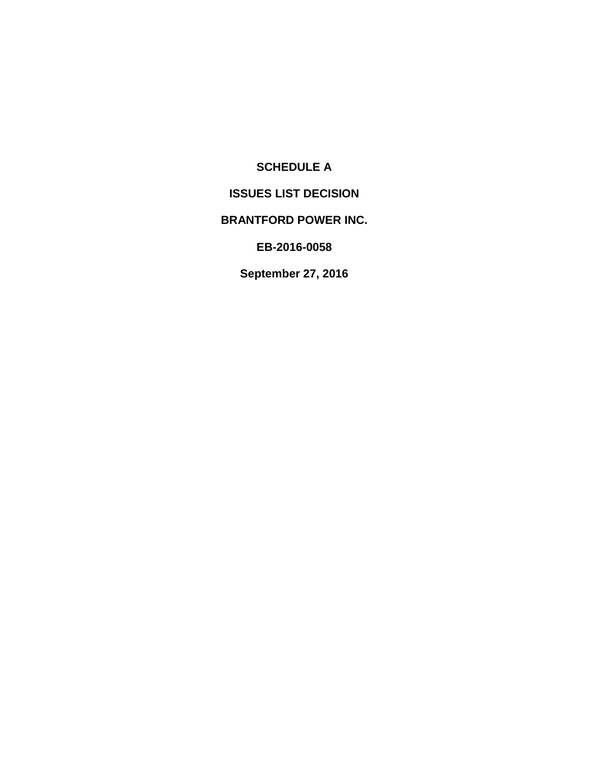## **SCHEDULE A**

## **ISSUES LIST DECISION**

## **BRANTFORD POWER INC.**

**EB-2016-0058**

**September 27, 2016**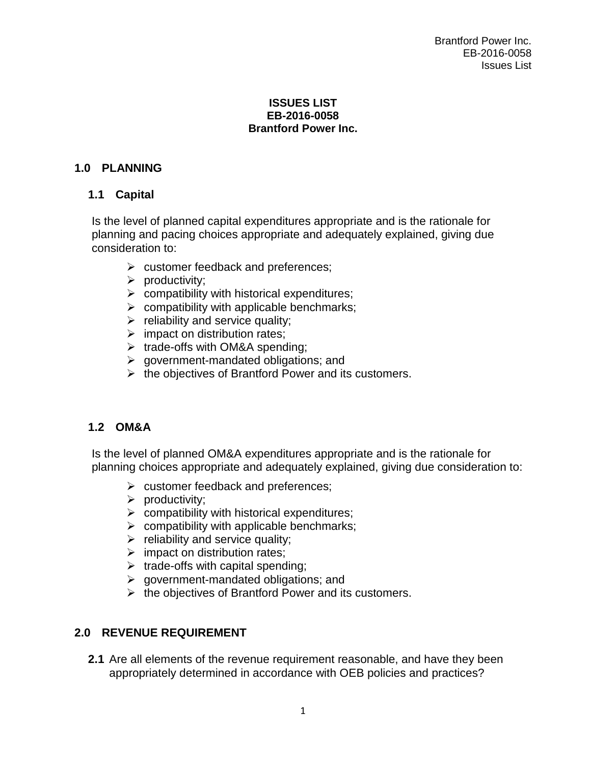#### **ISSUES LIST EB-2016-0058 Brantford Power Inc.**

## **1.0 PLANNING**

## **1.1 Capital**

Is the level of planned capital expenditures appropriate and is the rationale for planning and pacing choices appropriate and adequately explained, giving due consideration to:

- $\triangleright$  customer feedback and preferences;
- $\triangleright$  productivity;
- $\triangleright$  compatibility with historical expenditures;
- $\triangleright$  compatibility with applicable benchmarks;
- $\triangleright$  reliability and service quality;
- $\triangleright$  impact on distribution rates;
- $\triangleright$  trade-offs with OM&A spending;
- $\triangleright$  government-mandated obligations; and
- $\triangleright$  the objectives of Brantford Power and its customers.

## **1.2 OM&A**

Is the level of planned OM&A expenditures appropriate and is the rationale for planning choices appropriate and adequately explained, giving due consideration to:

- $\triangleright$  customer feedback and preferences;
- $\triangleright$  productivity;
- $\triangleright$  compatibility with historical expenditures;
- $\triangleright$  compatibility with applicable benchmarks;
- $\triangleright$  reliability and service quality;
- $\triangleright$  impact on distribution rates;
- $\triangleright$  trade-offs with capital spending;
- $\triangleright$  government-mandated obligations; and
- $\triangleright$  the objectives of Brantford Power and its customers.

## **2.0 REVENUE REQUIREMENT**

**2.1** Are all elements of the revenue requirement reasonable, and have they been appropriately determined in accordance with OEB policies and practices?